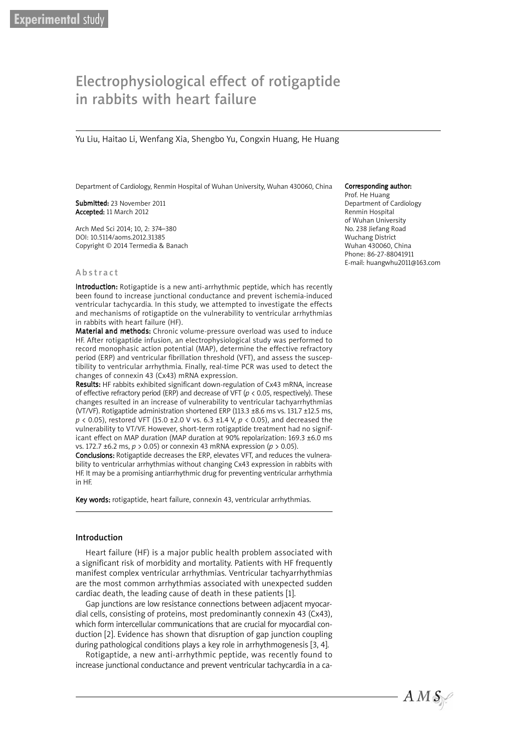# Electrophysiological effect of rotigaptide Electrophysiological effect of rotigaptide in rabbits with heart failure in rabbits with heart failure

Yu Liu, Haitao Li, Wenfang Xia, Shengbo Yu, Congxin Huang, He Huang Yu Liu, Haitao Li, Wenfang Xia, Shengbo Yu, Congxin Huang, He Huang

Department of Cardiology, Renmin Hospital of Wuhan University, Wuhan 430060, China

Submitted: 23 November 2011 Accepted: 11 March 2012

Arch Med Sci 2014; 10, 2: 374–380 DOI: 10.5114/aoms.2012.31385 Copyright © 2014 Termedia & Banach

#### **A** b s tract

Introduction: Rotigaptide is a new anti-arrhythmic peptide, which has recently been found to increase junctional conductance and prevent ischemia-induced ventricular tachycardia. In this study, we attempted to investigate the effects and mechanisms of rotigaptide on the vulnerability to ventricular arrhythmias in rabbits with heart failure (HF).

Material and methods: Chronic volume-pressure overload was used to induce HF. After rotigaptide infusion, an electrophysiological study was performed to record monophasic action potential (MAP), determine the effective refractory period (ERP) and ventricular fibrillation threshold (VFT), and assess the susceptibility to ventricular arrhythmia. Finally, real-time PCR was used to detect the changes of connexin 43 (Cx43) mRNA expression.

Results: HF rabbits exhibited significant down-regulation of Cx43 mRNA, increase of effective refractory period (ERP) and decrease of VFT (*p* < 0.05, respectively). These changes resulted in an increase of vulnerability to ventricular tachyarrhythmias (VT/VF). Rotigaptide administration shortened ERP (113.3  $\pm$ 8.6 ms vs. 131.7  $\pm$ 12.5 ms, *p* < 0.05), restored VFT (15.0 ±2.0 V vs. 6.3 ±1.4 V, *p* < 0.05), and decreased the vulnerability to VT/VF. However, short-term rotigaptide treatment had no significant effect on MAP duration (MAP duration at 90% repolarization: 169.3 ±6.0 ms vs. 172.7 ±6.2 ms, *p* > 0.05) or connexin 43 mRNA expression (*p* > 0.05).

Conclusions: Rotigaptide decreases the ERP, elevates VFT, and reduces the vulnerability to ventricular arrhythmias without changing Cx43 expression in rabbits with HF. It may be a promising antiarrhythmic drug for preventing ventricular arrhythmia in HF.

Key words: rotigaptide, heart failure, connexin 43, ventricular arrhythmias.

#### Introduction

Heart failure (HF) is a major public health problem associated with a significant risk of morbidity and mortality. Patients with HF frequently manifest complex ventricular arrhythmias. Ventricular tachyarrhythmias are the most common arrhythmias associated with unexpected sudden cardiac death, the leading cause of death in these patients [1].

Gap junctions are low resistance connections between adjacent myocardial cells, consisting of proteins, most predominantly connexin 43 (Cx43), which form intercellular communications that are crucial for myocardial conduction [2]. Evidence has shown that disruption of gap junction coupling during pathological conditions plays a key role in arrhythmogenesis [3, 4].

Rotigaptide, a new anti-arrhythmic peptide, was recently found to increase junctional conductance and prevent ventricular tachycardia in a ca-

#### Corresponding author:

Prof. He Huang Department of Cardiology Renmin Hospital of Wuhan University No. 238 Jiefang Road Wuchang District Wuhan 430060, China Phone: 86-27-88041911 E-mail: huangwhu2011@163.com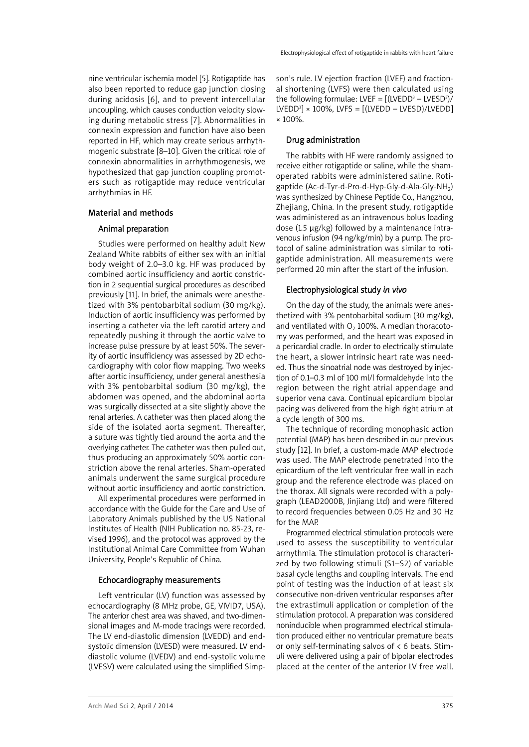nine ventricular ischemia model [5]. Rotigaptide has also been reported to reduce gap junction closing during acidosis [6], and to prevent intercellular uncoupling, which causes conduction velocity slowing during metabolic stress [7]. Abnormalities in connexin expression and function have also been reported in HF, which may create serious arrhythmogenic substrate [8–10]. Given the critical role of connexin abnormalities in arrhythmogenesis, we hypothesized that gap junction coupling promoters such as rotigaptide may reduce ventricular arrhythmias in HF.

# Material and methods

# Animal preparation

Studies were performed on healthy adult New Zealand White rabbits of either sex with an initial body weight of 2.0–3.0 kg. HF was produced by combined aortic insufficiency and aortic constriction in 2 sequential surgical procedures as described previously [11]. In brief, the animals were anesthetized with 3% pentobarbital sodium (30 mg/kg). Induction of aortic insufficiency was performed by inserting a catheter via the left carotid artery and repeatedly pushing it through the aortic valve to increase pulse pressure by at least 50%. The severity of aortic insufficiency was assessed by 2D echocardiography with color flow mapping. Two weeks after aortic insufficiency, under general anesthesia with 3% pentobarbital sodium (30 mg/kg), the abdomen was opened, and the abdominal aorta was surgically dissected at a site slightly above the renal arteries. A catheter was then placed along the side of the isolated aorta segment. Thereafter, a suture was tightly tied around the aorta and the overlying catheter. The catheter was then pulled out, thus producing an approximately 50% aortic constriction above the renal arteries. Sham-operated animals underwent the same surgical procedure without aortic insufficiency and aortic constriction.

All experimental procedures were performed in accordance with the Guide for the Care and Use of Laboratory Animals published by the US National Institutes of Health (NIH Publication no. 85-23, revised 1996), and the protocol was approved by the Institutional Animal Care Committee from Wuhan University, People's Republic of China.

# Echocardiography measurements

Left ventricular (LV) function was assessed by echocardiography (8 MHz probe, GE, VIVID7, USA). The anterior chest area was shaved, and two-dimensional images and M-mode tracings were recorded. The LV end-diastolic dimension (LVEDD) and endsystolic dimension (LVESD) were measured. LV enddiastolic volume (LVEDV) and end-systolic volume (LVESV) were calculated using the simplified Simp-

son's rule. LV ejection fraction (LVEF) and fractional shortening (LVFS) were then calculated using the following formulae: LVEF =  $[(LVEDD<sup>3</sup> - LVESD<sup>3</sup>)/$  $LVEDD<sup>3</sup>] \times 100\%$ ,  $LVFS = [(LVEDD - LVESD)/LVEDD]$ × 100%.

## Drug administration

The rabbits with HF were randomly assigned to receive either rotigaptide or saline, while the shamoperated rabbits were administered saline. Rotigaptide  $(Ac-d-Tyr-d-Pro-d-Hyp-Gly-d-Ala-Gly-NH<sub>2</sub>)$ was synthesized by Chinese Peptide Co., Hangzhou, Zhejiang, China. In the present study, rotigaptide was administered as an intravenous bolus loading dose (1.5 µg/kg) followed by a maintenance intravenous infusion (94 ng/kg/min) by a pump. The protocol of saline administration was similar to rotigaptide administration. All measurements were performed 20 min after the start of the infusion.

## Electrophysiological study *in vivo*

On the day of the study, the animals were anesthetized with 3% pentobarbital sodium (30 mg/kg), and ventilated with  $O<sub>2</sub>$  100%. A median thoracotomy was performed, and the heart was exposed in a pericardial cradle. In order to electrically stimulate the heart, a slower intrinsic heart rate was needed. Thus the sinoatrial node was destroyed by injection of 0.1–0.3 ml of 100 ml/l formaldehyde into the region between the right atrial appendage and superior vena cava. Continual epicardium bipolar pacing was delivered from the high right atrium at a cycle length of 300 ms.

The technique of recording monophasic action potential (MAP) has been described in our previous study [12]. In brief, a custom-made MAP electrode was used. The MAP electrode penetrated into the epicardium of the left ventricular free wall in each group and the reference electrode was placed on the thorax. All signals were recorded with a polygraph (LEAD2000B, Jinjiang Ltd) and were filtered to record frequencies between 0.05 Hz and 30 Hz for the MAP.

Programmed electrical stimulation protocols were used to assess the susceptibility to ventricular arrhythmia. The stimulation protocol is characterized by two following stimuli (S1–S2) of variable basal cycle lengths and coupling intervals. The end point of testing was the induction of at least six consecutive non-driven ventricular responses after the extrastimuli application or completion of the stimulation protocol. A preparation was considered noninducible when programmed electrical stimulation produced either no ventricular premature beats or only self-terminating salvos of  $\lt 6$  beats. Stimuli were delivered using a pair of bipolar electrodes placed at the center of the anterior LV free wall.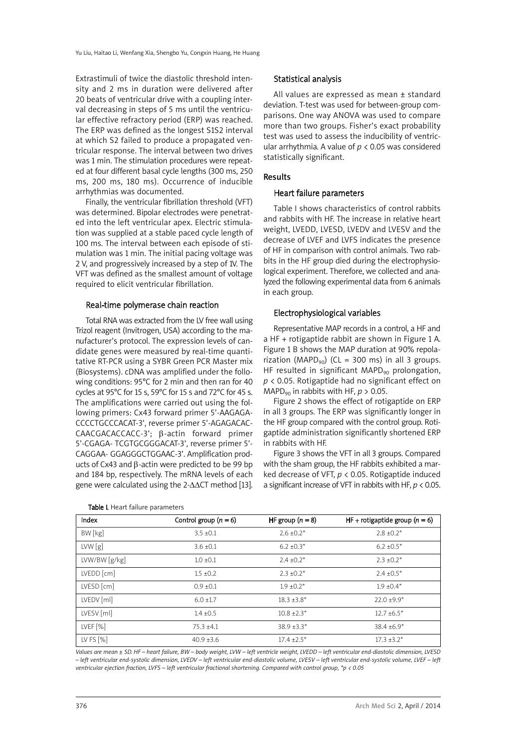Extrastimuli of twice the diastolic threshold intensity and 2 ms in duration were delivered after 20 beats of ventricular drive with a coupling interval decreasing in steps of 5 ms until the ventricular effective refractory period (ERP) was reached. The ERP was defined as the longest S1S2 interval at which S2 failed to produce a propagated ventricular response. The interval between two drives was 1 min. The stimulation procedures were repeated at four different basal cycle lengths (300 ms, 250 ms, 200 ms, 180 ms). Occurrence of inducible arrhythmias was documented.

Finally, the ventricular fibrillation threshold (VFT) was determined. Bipolar electrodes were penetrated into the left ventricular apex. Electric stimulation was supplied at a stable paced cycle length of 100 ms. The interval between each episode of stimulation was 1 min. The initial pacing voltage was 2 V, and progressively increased by a step of 1V. The VFT was defined as the smallest amount of voltage required to elicit ventricular fibrillation.

#### Real-time polymerase chain reaction

Total RNA was extracted from the LV free wall using Trizol reagent (Invitrogen, USA) according to the manufacturer's protocol. The expression levels of candidate genes were measured by real-time quantitative RT-PCR using a SYBR Green PCR Master mix (Biosystems). cDNA was amplified under the following conditions: 95°C for 2 min and then ran for 40 cycles at 95°C for 15 s, 59°C for 15 s and 72°C for 45 s. The amplifications were carried out using the following primers: Cx43 forward primer 5'-AAGAGA-CCCCTGCCCACAT-3', reverse primer 5'-AGAGACAC-CAACGACACCACC-3'; β-actin forward primer 5'-CGAGA- TCGTGCGGGACAT-3', reverse primer 5'- CAGGAA- GGAGGGCTGGAAC-3'. Amplification products of Cx43 and β-actin were predicted to be 99 bp and 184 bp, respectively. The mRNA levels of each gene were calculated using the 2-∆∆CT method [13].

# Statistical analysis

All values are expressed as mean ± standard deviation. T-test was used for between-group comparisons. One way ANOVA was used to compare more than two groups. Fisher's exact probability test was used to assess the inducibility of ventricular arrhythmia. A value of *p* < 0.05 was considered statistically significant.

#### Results

#### Heart failure parameters

Table I shows characteristics of control rabbits and rabbits with HF. The increase in relative heart weight, LVEDD, LVESD, LVEDV and LVESV and the decrease of LVEF and LVFS indicates the presence of HF in comparison with control animals. Two rabbits in the HF group died during the electrophysiological experiment. Therefore, we collected and analyzed the following experimental data from 6 animals in each group.

## Electrophysiological variables

Representative MAP records in a control, a HF and a HF + rotigaptide rabbit are shown in Figure 1 A. Figure 1 B shows the MAP duration at 90% repolarization (MAPD<sub>90</sub>) (CL = 300 ms) in all 3 groups. HF resulted in significant MAPD $_{90}$  prolongation, *p* < 0.05. Rotigaptide had no significant effect on MAPD<sub>90</sub> in rabbits with HF,  $p > 0.05$ .

Figure 2 shows the effect of rotigaptide on ERP in all 3 groups. The ERP was significantly longer in the HF group compared with the control group. Rotigaptide administration significantly shortened ERP in rabbits with HF.

Figure 3 shows the VFT in all 3 groups. Compared with the sham group, the HF rabbits exhibited a marked decrease of VFT, *p* < 0.05. Rotigaptide induced a significant increase of VFT in rabbits with HF, *p* < 0.05.

| Index          | Control group $(n = 6)$ | HF group $(n = 8)$ | HF + rotigaptide group $(n = 6)$ |
|----------------|-------------------------|--------------------|----------------------------------|
| BW [kg]        | $3.5 \pm 0.1$           | $2.6 \pm 0.2^*$    | $2.8 \pm 0.2^*$                  |
| LVW[g]         | $3.6 \pm 0.1$           | $6.2 \pm 0.3^*$    | $6.2 \pm 0.5^*$                  |
| LVW/BW [g/kg]  | $1.0 \pm 0.1$           | $2.4 \pm 0.2^*$    | $2.3 \pm 0.2^*$                  |
| $LVEDD$ $[cm]$ | $1.5 \pm 0.2$           | $2.3 + 0.2^*$      | $2.4 + 0.5*$                     |
| $LVESD$ $[cm]$ | $0.9 + 0.1$             | $1.9 + 0.2^*$      | $1.9 + 0.4*$                     |
| LVEDV [ml]     | $6.0 \pm 1.7$           | $18.3 \pm 3.8^*$   | $22.0 \pm 9.9^*$                 |
| LVESV [ml]     | $1.4 \pm 0.5$           | $10.8 \pm 2.3^*$   | $12.7 \pm 6.5^*$                 |
| LVEF[%]        | $75.3 \pm 4.1$          | $38.9 + 3.3*$      | $38.4 \pm 6.9*$                  |
| LV FS $[%]$    | $40.9 \pm 3.6$          | $17.4 + 2.5*$      | $17.3 \pm 3.2^*$                 |

#### Table I. Heart failure parameters

Values are mean ± SD. HF - heart failure, BW - body weight, LVW - left ventricle weight, LVEDD - left ventricular end-diastolic dimension, LVESD - left ventricular end-systolic dimension, LVEDV - left ventricular end-diastolic volume, LVESV - left ventricular end-systolic volume, LVEF - left ventricular ejection fraction, LVFS – left ventricular fractional shortenina. Compared with control aroup, \*p < 0.05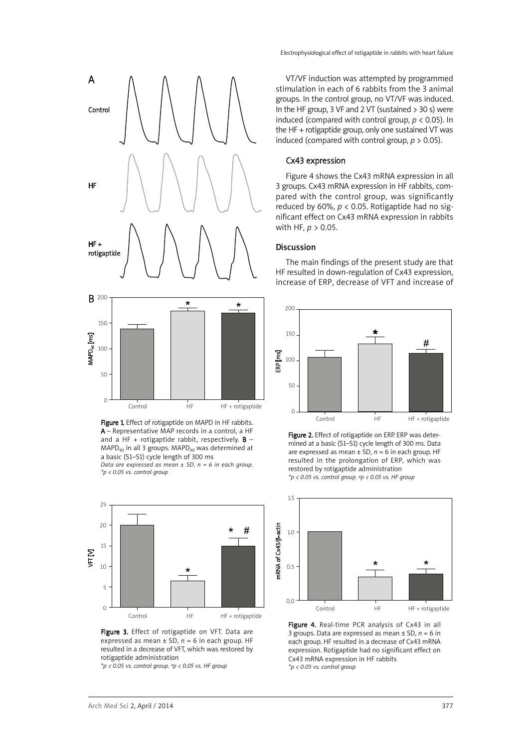

Figure 1. Effect of rotigaptide on MAPD in HF rabbits. A – Representative MAP records in a control, a HF and a HF + rotigaptide rabbit, respectively.  $B \text{MAPD}_{90}$  in all 3 groups. MAPD<sub>90</sub> was determined at a basic (S1–S1) cycle length of 300 ms *Data are expressed as mean ± SD, n = 6 in each group. \*p < 0.05 vs. control group*



Figure 3. Effect of rotigaptide on VFT. Data are expressed as mean  $\pm$  SD,  $n = 6$  in each group. HF resulted in a decrease of VFT, which was restored by rotigaptide administration

*\*p < 0.05 vs. control group. #p < 0.05 vs. HF group*

VT/VF induction was attempted by programmed stimulation in each of 6 rabbits from the 3 animal groups. In the control group, no VT/VF was induced. In the HF group, 3 VF and 2 VT (sustained  $>$  30 s) were induced (compared with control group, *p* < 0.05). In the HF + rotigaptide group, only one sustained VT was induced (compared with control group,  $p > 0.05$ ).

# Cx43 expression

Figure 4 shows the Cx43 mRNA expression in all 3 groups. Cx43 mRNA expression in HF rabbits, compared with the control group, was significantly reduced by 60%,  $p < 0.05$ . Rotigaptide had no significant effect on Cx43 mRNA expression in rabbits with HF, *p* > 0.05.

## Discussion

The main findings of the present study are that HF resulted in down-regulation of Cx43 expression, increase of ERP, decrease of VFT and increase of



Figure 2. Effect of rotigaptide on ERP. ERP was determined at a basic (S1–S1) cycle length of 300 ms. Data are expressed as mean  $\pm$  SD,  $n = 6$  in each group. HF resulted in the prolongation of ERP, which was restored by rotigaptide administration *\*p < 0.05 vs. control group. #p < 0.05 vs. HF group*



Figure 4. Real-time PCR analysis of Cx43 in all 3 groups. Data are expressed as mean  $\pm$  SD,  $n = 6$  in each group. HF resulted in a decrease of Cx43 mRNA expression. Rotigaptide had no significant effect on Cx43 mRNA expression in HF rabbits *\*p < 0.05 vs. control group*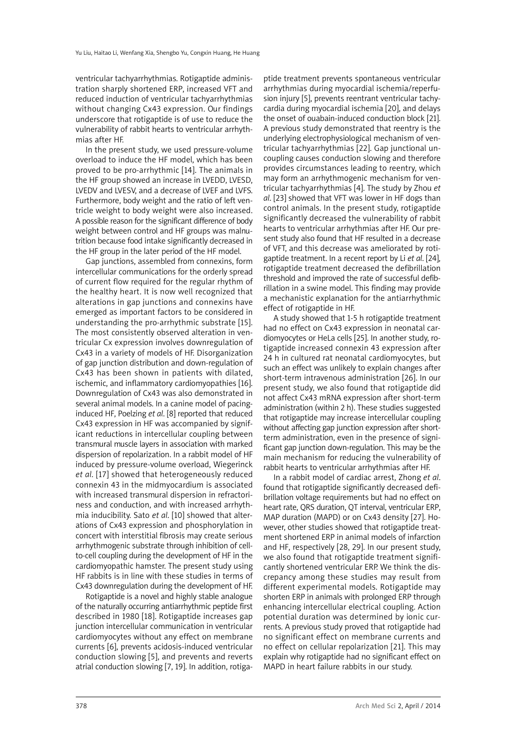ventricular tachyarrhythmias. Rotigaptide administration sharply shortened ERP, increased VFT and reduced induction of ventricular tachyarrhythmias without changing Cx43 expression. Our findings underscore that rotigaptide is of use to reduce the vulnerability of rabbit hearts to ventricular arrhythmias after HF.

In the present study, we used pressure-volume overload to induce the HF model, which has been proved to be pro-arrhythmic [14]. The animals in the HF group showed an increase in LVEDD, LVESD, LVEDV and LVESV, and a decrease of LVEF and LVFS. Furthermore, body weight and the ratio of left ventricle weight to body weight were also increased. A possible reason for the significant difference of body weight between control and HF groups was malnutrition because food intake significantly decreased in the HF group in the later period of the HF model.

Gap junctions, assembled from connexins, form intercellular communications for the orderly spread of current flow required for the regular rhythm of the healthy heart. It is now well recognized that alterations in gap junctions and connexins have emerged as important factors to be considered in understanding the pro-arrhythmic substrate [15]. The most consistently observed alteration in ventricular Cx expression involves downregulation of Cx43 in a variety of models of HF. Disorganization of gap junction distribution and down-regulation of Cx43 has been shown in patients with dilated, ischemic, and inflammatory cardiomyopathies [16]. Downregulation of Cx43 was also demonstrated in several animal models. In a canine model of pacinginduced HF, Poelzing *et al*. [8] reported that reduced Cx43 expression in HF was accompanied by significant reductions in intercellular coupling between transmural muscle layers in association with marked dispersion of repolarization. In a rabbit model of HF induced by pressure-volume overload, Wiegerinck *et al*. [17] showed that heterogeneously reduced connexin 43 in the midmyocardium is associated with increased transmural dispersion in refractoriness and conduction, and with increased arrhythmia inducibility. Sato *et al*. [10] showed that alterations of Cx43 expression and phosphorylation in concert with interstitial fibrosis may create serious arrhythmogenic substrate through inhibition of cellto-cell coupling during the development of HF in the cardiomyopathic hamster. The present study using HF rabbits is in line with these studies in terms of Cx43 downregulation during the development of HF.

Rotigaptide is a novel and highly stable analogue of the naturally occurring antiarrhythmic peptide first described in 1980 [18]. Rotigaptide increases gap junction intercellular communication in ventricular cardiomyocytes without any effect on membrane currents [6], prevents acidosis-induced ventricular conduction slowing [5], and prevents and reverts atrial conduction slowing [7, 19]. In addition, rotiga-

ptide treatment prevents spontaneous ventricular arrhythmias during myocardial ischemia/reperfusion injury [5], prevents reentrant ventricular tachycardia during myocardial ischemia [20], and delays the onset of ouabain-induced conduction block [21]. A previous study demonstrated that reentry is the underlying electrophysiological mechanism of ventricular tachyarrhythmias [22]. Gap junctional uncoupling causes conduction slowing and therefore provides circumstances leading to reentry, which may form an arrhythmogenic mechanism for ventricular tachyarrhythmias [4]. The study by Zhou *et al*. [23] showed that VFT was lower in HF dogs than control animals. In the present study, rotigaptide significantly decreased the vulnerability of rabbit hearts to ventricular arrhythmias after HF. Our present study also found that HF resulted in a decrease of VFT, and this decrease was ameliorated by rotigaptide treatment. In a recent report by Li *et al*. [24], rotigaptide treatment decreased the defibrillation threshold and improved the rate of successful defibrillation in a swine model. This finding may provide a mechanistic explanation for the antiarrhythmic effect of rotigaptide in HF.

A study showed that 1-5 h rotigaptide treatment had no effect on Cx43 expression in neonatal cardiomyocytes or HeLa cells [25]. In another study, rotigaptide increased connexin 43 expression after 24 h in cultured rat neonatal cardiomyocytes, but such an effect was unlikely to explain changes after short-term intravenous administration [26]. In our present study, we also found that rotigaptide did not affect Cx43 mRNA expression after short-term administration (within 2 h). These studies suggested that rotigaptide may increase intercellular coupling without affecting gap junction expression after shortterm administration, even in the presence of significant gap junction down-regulation. This may be the main mechanism for reducing the vulnerability of rabbit hearts to ventricular arrhythmias after HF.

In a rabbit model of cardiac arrest, Zhong *et al*. found that rotigaptide significantly decreased defibrillation voltage requirements but had no effect on heart rate, QRS duration, QT interval, ventricular ERP, MAP duration (MAPD) or on Cx43 density [27]. However, other studies showed that rotigaptide treatment shortened ERP in animal models of infarction and HF, respectively [28, 29]. In our present study, we also found that rotigaptide treatment significantly shortened ventricular ERP. We think the discrepancy among these studies may result from different experimental models. Rotigaptide may shorten ERP in animals with prolonged ERP through enhancing intercellular electrical coupling. Action potential duration was determined by ionic currents. A previous study proved that rotigaptide had no significant effect on membrane currents and no effect on cellular repolarization [21]. This may explain why rotigaptide had no significant effect on MAPD in heart failure rabbits in our study.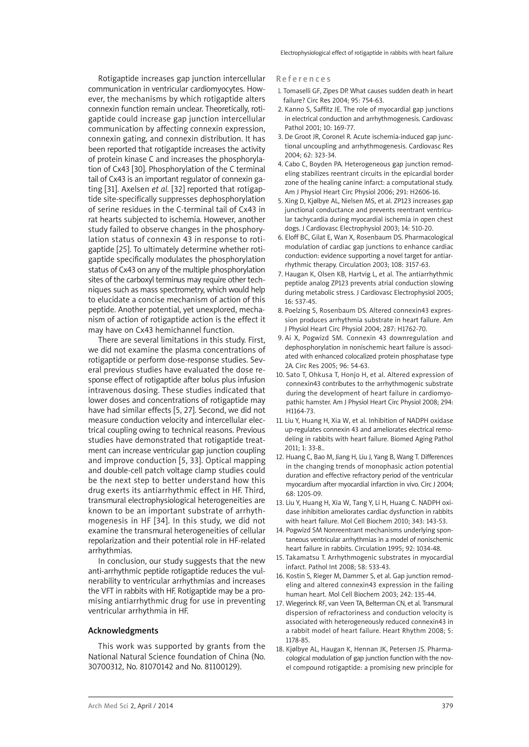Rotigaptide increases gap junction intercellular communication in ventricular cardiomyocytes. However, the mechanisms by which rotigaptide alters connexin function remain unclear. Theoretically, rotigaptide could increase gap junction intercellular communication by affecting connexin expression, connexin gating, and connexin distribution. It has been reported that rotigaptide increases the activity of protein kinase C and increases the phosphorylation of Cx43 [30]. Phosphorylation of the C terminal tail of Cx43 is an important regulator of connexin gating [31]. Axelsen *et al.* [32] reported that rotigaptide site-specifically suppresses dephosphorylation of serine residues in the C-terminal tail of Cx43 in rat hearts subjected to ischemia. However, another study failed to observe changes in the phosphorylation status of connexin 43 in response to rotigaptide [25]. To ultimately determine whether rotigaptide specifically modulates the phosphorylation status of Cx43 on any of the multiple phosphorylation sites of the carboxyl terminus may require other techniques such as mass spectrometry, which would help to elucidate a concise mechanism of action of this peptide. Another potential, yet unexplored, mechanism of action of rotigaptide action is the effect it may have on Cx43 hemichannel function.

There are several limitations in this study. First, we did not examine the plasma concentrations of rotigaptide or perform dose-response studies. Several previous studies have evaluated the dose response effect of rotigaptide after bolus plus infusion intravenous dosing. These studies indicated that lower doses and concentrations of rotigaptide may have had similar effects [5, 27]. Second, we did not measure conduction velocity and intercellular electrical coupling owing to technical reasons. Previous studies have demonstrated that rotigaptide treatment can increase ventricular gap junction coupling and improve conduction [5, 33]. Optical mapping and double-cell patch voltage clamp studies could be the next step to better understand how this drug exerts its antiarrhythmic effect in HF. Third, transmural electrophysiological heterogeneities are known to be an important substrate of arrhythmogenesis in HF [34]. In this study, we did not examine the transmural heterogeneities of cellular repolarization and their potential role in HF-related arrhythmias.

In conclusion, our study suggests that the new anti-arrhythmic peptide rotigaptide reduces the vulnerability to ventricular arrhythmias and increases the VFT in rabbits with HF. Rotigaptide may be a promising antiarrhythmic drug for use in preventing ventricular arrhythmia in HF.

#### Acknowledgments

This work was supported by grants from the National Natural Science foundation of China (No. 30700312, No. 81070142 and No. 81100129).

#### **References**

- 1. Tomaselli GF, Zipes DP. What causes sudden death in heart failure? Circ Res 2004; 95: 754-63.
- 2. Kanno S, Saffitz JE. The role of myocardial gap junctions in electrical conduction and arrhythmogenesis. Cardiovasc Pathol 2001; 10: 169-77.
- 3. De Groot JR, Coronel R. Acute ischemia-induced gap junctional uncoupling and arrhythmogenesis. Cardiovasc Res 2004; 62: 323-34.
- 4. Cabo C, Boyden PA. Heterogeneous gap junction remodeling stabilizes reentrant circuits in the epicardial border zone of the healing canine infarct: a computational study. Am J Physiol Heart Circ Physiol 2006; 291: H2606-16.
- 5. Xing D, Kjølbye AL, Nielsen MS, et al. ZP123 increases gap junctional conductance and prevents reentrant ventricular tachycardia during myocardial ischemia in open chest dogs. J Cardiovasc Electrophysiol 2003; 14: 510-20.
- 6. Eloff BC, Gilat E, Wan X, Rosenbaum DS. Pharmacological modulation of cardiac gap junctions to enhance cardiac conduction: evidence supporting a novel target for antiarrhythmic therapy. Circulation 2003; 108: 3157-63.
- 7. Haugan K, Olsen KB, Hartvig L, et al. The antiarrhythmic peptide analog ZP123 prevents atrial conduction slowing during metabolic stress. J Cardiovasc Electrophysiol 2005; 16: 537-45.
- 8. Poelzing S, Rosenbaum DS. Altered connexin43 expression produces arrhythmia substrate in heart failure. Am J Physiol Heart Circ Physiol 2004; 287: H1762-70.
- 9. Ai X, Pogwizd SM. Connexin 43 downregulation and dephosphorylation in nonischemic heart failure is associated with enhanced colocalized protein phosphatase type 2A. Circ Res 2005; 96: 54-63.
- 10. Sato T, Ohkusa T, Honjo H, et al. Altered expression of connexin43 contributes to the arrhythmogenic substrate during the development of heart failure in cardiomyopathic hamster. Am J Physiol Heart Circ Physiol 2008; 294: H1164-73.
- 11. Liu Y, Huang H, Xia W, et al. Inhibition of NADPH oxidase up-regulates connexin 43 and ameliorates electrical remodeling in rabbits with heart failure. Biomed Aging Pathol 2011; 1: 33-8..
- 12. Huang C, Bao M, Jiang H, Liu J, Yang B, Wang T. Differences in the changing trends of monophasic action potential duration and effective refractory period of the ventricular myocardium after myocardial infarction in vivo. Circ J 2004; 68: 1205-09.
- 13. Liu Y, Huang H, Xia W, Tang Y, Li H, Huang C. NADPH oxidase inhibition ameliorates cardiac dysfunction in rabbits with heart failure. Mol Cell Biochem 2010; 343: 143-53.
- 14. Pogwizd SM Nonreentrant mechanisms underlying spontaneous ventricular arrhythmias in a model of nonischemic heart failure in rabbits. Circulation 1995; 92: 1034-48.
- 15. Takamatsu T. Arrhythmogenic substrates in myocardial infarct. Pathol Int 2008; 58: 533-43.
- 16. Kostin S, Rieger M, Dammer S, et al. Gap junction remodeling and altered connexin43 expression in the failing human heart. Mol Cell Biochem 2003; 242: 135-44.
- 17. Wiegerinck RF, van Veen TA, Belterman CN, et al. Transmural dispersion of refractoriness and conduction velocity is associated with heterogeneously reduced connexin43 in a rabbit model of heart failure. Heart Rhythm 2008; 5: 1178-85.
- 18. Kjølbye AL, Haugan K, Hennan JK, Petersen JS. Pharmacological modulation of gap junction function with the novel compound rotigaptide: a promising new principle for